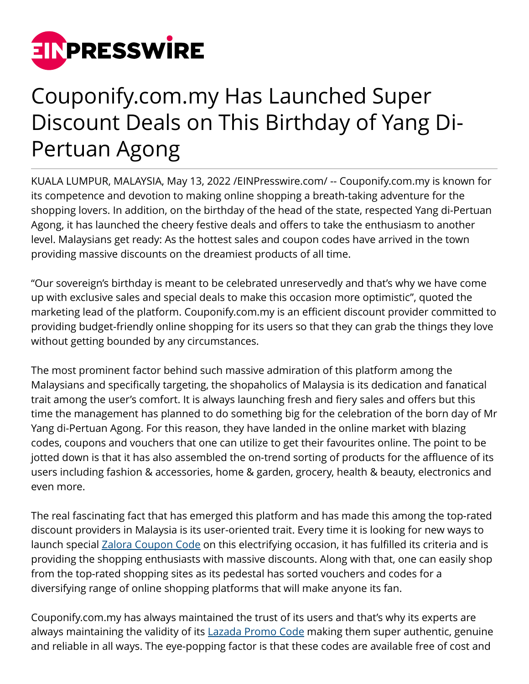

## Couponify.com.my Has Launched Super Discount Deals on This Birthday of Yang Di-Pertuan Agong

KUALA LUMPUR, MALAYSIA, May 13, 2022 /[EINPresswire.com/](http://www.einpresswire.com) -- Couponify.com.my is known for its competence and devotion to making online shopping a breath-taking adventure for the shopping lovers. In addition, on the birthday of the head of the state, respected Yang di-Pertuan Agong, it has launched the cheery festive deals and offers to take the enthusiasm to another level. Malaysians get ready: As the hottest sales and coupon codes have arrived in the town providing massive discounts on the dreamiest products of all time.

"Our sovereign's birthday is meant to be celebrated unreservedly and that's why we have come up with exclusive sales and special deals to make this occasion more optimistic", quoted the marketing lead of the platform. Couponify.com.my is an efficient discount provider committed to providing budget-friendly online shopping for its users so that they can grab the things they love without getting bounded by any circumstances.

The most prominent factor behind such massive admiration of this platform among the Malaysians and specifically targeting, the shopaholics of Malaysia is its dedication and fanatical trait among the user's comfort. It is always launching fresh and fiery sales and offers but this time the management has planned to do something big for the celebration of the born day of Mr Yang di-Pertuan Agong. For this reason, they have landed in the online market with blazing codes, coupons and vouchers that one can utilize to get their favourites online. The point to be jotted down is that it has also assembled the on-trend sorting of products for the affluence of its users including fashion & accessories, home & garden, grocery, health & beauty, electronics and even more.

The real fascinating fact that has emerged this platform and has made this among the top-rated discount providers in Malaysia is its user-oriented trait. Every time it is looking for new ways to launch special **[Zalora Coupon Code](https://couponify.com.my/zalora) on this electrifying occasion**, it has fulfilled its criteria and is providing the shopping enthusiasts with massive discounts. Along with that, one can easily shop from the top-rated shopping sites as its pedestal has sorted vouchers and codes for a diversifying range of online shopping platforms that will make anyone its fan.

Couponify.com.my has always maintained the trust of its users and that's why its experts are always maintaining the validity of its [Lazada Promo Code](https://couponify.com.my/lazada) making them super authentic, genuine and reliable in all ways. The eye-popping factor is that these codes are available free of cost and